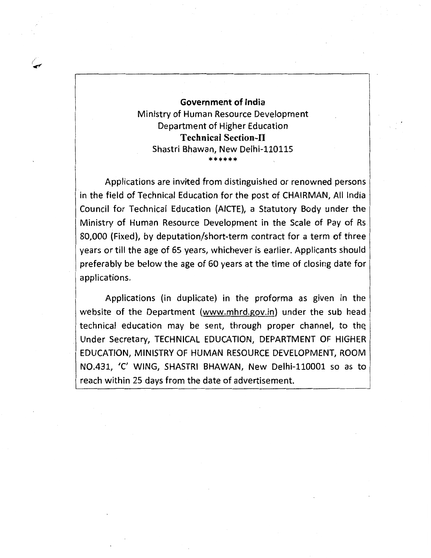## Government of India Ministry of Human Resource Development Department of Higher Education Technical Section-11 Shastri Bhawan, New Delhi-110115 \*\*\*\*\*\*

*/*   $\blacktriangleright$ 

> Applications are invited from distinguished or renowned persons in the field of Technical Education for the post of CHAIRMAN, All India Council for Technical Education {AICTE), a Statutory Body under the Ministry of Human Resource Development in the Scale of Pay of Rs 80,000 {Fixed), by deputation/short-term contract for a term of three years or till the age of 65 years, whichever is earlier. Applicants should preferably be below the age of 60 years at the time of closing date for applications.

> Applications {in duplicate) in the proforma as given in the website of the Department (www.mhrd.gov.in) under the sub head technical education may be sent, through proper channel, to the: Under Secretary, TECHNICAL EDUCATION, DEPARTMENT OF HIGHER EDUCATION, MINISTRY OF HUMAN RESOURCE DEVELOPMENT, ROOM . N0.431, 'C' WING, SHASTRI BHAWAN, New Delhi-110001 so as to reach within 25 days from the date of advertisement.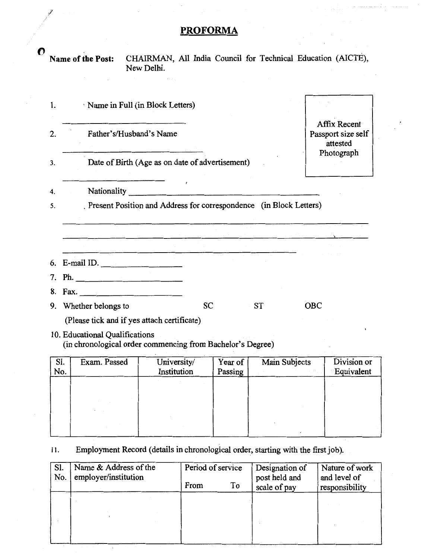# PROFORMA

**O** Name of the Post: CHAIRMAN, All India Council for Technical Education (AICTE), New Delhi.

| 1.       | Name in Full (in Block Letters)                                            |                                                                     |  |  |  |
|----------|----------------------------------------------------------------------------|---------------------------------------------------------------------|--|--|--|
| 2.<br>3. | Father's/Husband's Name<br>Date of Birth (Age as on date of advertisement) | <b>Affix Recent</b><br>Passport size self<br>attested<br>Photograph |  |  |  |
| 4.       |                                                                            |                                                                     |  |  |  |
| 5.       | Present Position and Address for correspondence (in Block Letters)         |                                                                     |  |  |  |
|          |                                                                            |                                                                     |  |  |  |
|          |                                                                            |                                                                     |  |  |  |
|          | $\sim$<br>6. E-mail ID.                                                    |                                                                     |  |  |  |
|          |                                                                            |                                                                     |  |  |  |
|          | 8. Fax.                                                                    |                                                                     |  |  |  |
|          | SC<br><b>ST</b><br>9. Whether belongs to                                   | <b>OBC</b>                                                          |  |  |  |
|          | (Please tick and if yes attach certificate)                                |                                                                     |  |  |  |
|          | 10. Educational Qualifications                                             |                                                                     |  |  |  |

(in chronological order commencing from Bachelor's Degree)

| Sl.<br>No. | Exam. Passed | University/<br>Institution | Year of<br>Passing | Main Subjects | Division or<br>Equivalent |
|------------|--------------|----------------------------|--------------------|---------------|---------------------------|
|            |              |                            |                    |               |                           |
|            |              |                            |                    |               |                           |
|            |              |                            |                    |               |                           |

### 11. Employment Record (details in chronological order, starting with the first job).

| Sl.<br>No. | Name & Address of the<br>employer/institution | Period of service | Designation of<br>post held and | Nature of work<br>and level of |
|------------|-----------------------------------------------|-------------------|---------------------------------|--------------------------------|
|            |                                               | To<br>From        | scale of pay                    | responsibility                 |
|            |                                               |                   |                                 |                                |
|            |                                               |                   |                                 |                                |
|            |                                               |                   |                                 |                                |

*)'*